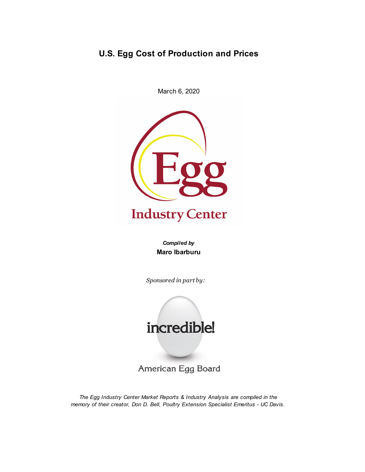# **U.S. Egg Cost of Production and Prices**

March 6, 2020



# **Industry Center**

*Compiled by* **Maro Ibarburu**

*Sponsored in part by:*



American Egg Board

*The Egg Industry Center Market Reports & Industry Analysis are compiled in the memory of their creator, Don D. Bell, Poultry Extension Specialist Emeritus - UC Davis.*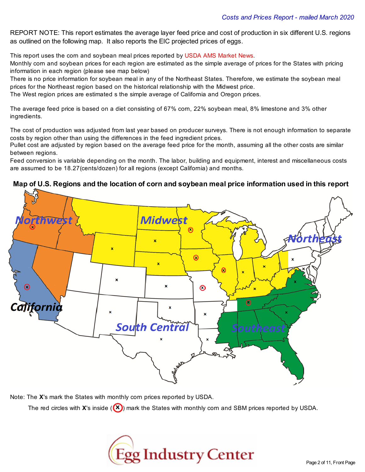REPORT NOTE: This report estimates the average layer feed price and cost of production in six different U.S. regions as outlined on the following map. It also reports the EIC projected prices of eggs.

This report uses the corn and soybean meal prices reported by USDA AMS Market News.

Monthly corn and soybean prices for each region are estimated as the simple average of prices for the States with pricing information in each region (please see map below)

There is no price information for soybean meal in any of the Northeast States. Therefore, we estimate the soybean meal prices for the Northeast region based on the historical relationship with the Midwest price.

The West region prices are estimated s the simple average of California and Oregon prices.

The average feed price is based on a diet consisting of 67% corn, 22% soybean meal, 8% limestone and 3% other ingredients.

The cost of production was adjusted from last year based on producer surveys. There is not enough information to separate costs by region other than using the differences in the feed ingredient prices.

Pullet cost are adjusted by region based on the average feed price for the month, assuming all the other costs are similar between regions.

Feed conversion is variable depending on the month. The labor, building and equipment, interest and miscellaneous costs are assumed to be 18.27(cents/dozen) for all regions (except California) and months.





Note: The **X**'s mark the States with monthly corn prices reported by USDA.

The red circles with **X**'s inside ((X)) mark the States with monthly corn and SBM prices reported by USDA.

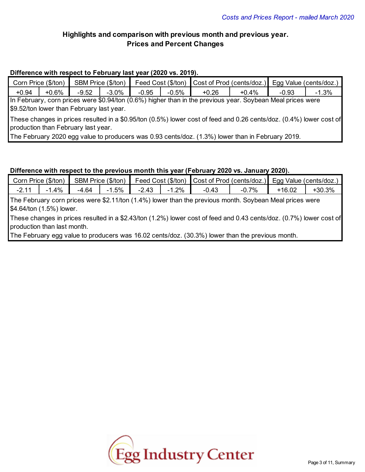# **Highlights and comparison with previous month and previous year. Prices and Percent Changes**

# **Difference with respect to February last year (2020 vs. 2019).**

|                                                                                                                                                                                                                                                                                                                                                                           | Corn Price (\$/ton) |         | SBM Price (\$/ton) |         |          | Feed Cost (\$/ton) Cost of Prod (cents/doz.) Egg Value (cents/doz.)                                        |          |         |          |
|---------------------------------------------------------------------------------------------------------------------------------------------------------------------------------------------------------------------------------------------------------------------------------------------------------------------------------------------------------------------------|---------------------|---------|--------------------|---------|----------|------------------------------------------------------------------------------------------------------------|----------|---------|----------|
| $+0.94$                                                                                                                                                                                                                                                                                                                                                                   | $+0.6\%$            | $-9.52$ | $-3.0\%$           | $-0.95$ | $-0.5\%$ | $+0.26$                                                                                                    | $+0.4\%$ | $-0.93$ | $-1.3\%$ |
| $\bigwedge_{i=1}^n \bigwedge_{i=1}^n \bigwedge_{i=1}^n \bigwedge_{i=1}^n \bigwedge_{i=1}^n \bigwedge_{i=1}^n \bigwedge_{i=1}^n \bigwedge_{i=1}^n \bigwedge_{i=1}^n \bigwedge_{i=1}^n \bigwedge_{i=1}^n \bigwedge_{i=1}^n \bigwedge_{i=1}^n \bigwedge_{i=1}^n \bigwedge_{i=1}^n \bigwedge_{i=1}^n \bigwedge_{i=1}^n \bigwedge_{i=1}^n \bigwedge_{i=1}^n \bigwedge_{i=1}^n$ |                     |         |                    |         |          | In February, corn prices were \$0.94/ton (0.6%) higher than in the previous year. Soybean Meal prices were |          |         |          |

\$9.52/ton lower than February last year.

These changes in prices resulted in a \$0.95/ton (0.5%) lower cost of feed and 0.26 cents/doz. (0.4%) lower cost of production than February last year.

The February 2020 egg value to producers was 0.93 cents/doz. (1.3%) lower than in February 2019.

# **Difference with respect to the previous month this year (February 2020 vs. January 2020).**

| Corn Price (\$/ton) | SBM Price (\$/ton) |        |       |       |               | Feed Cost (\$/ton) Cost of Prod (cents/doz.) Egg Value (cents/doz.) |          |
|---------------------|--------------------|--------|-------|-------|---------------|---------------------------------------------------------------------|----------|
| 4%                  | $-4.64$            | $.5\%$ | -2 43 | $2\%$ | $7\%$<br>-U., | $-16.02$                                                            | $+30.3%$ |

The February corn prices were \$2.11/ton (1.4%) lower than the previous month. Soybean Meal prices were \$4.64/ton (1.5%) lower.

These changes in prices resulted in a \$2.43/ton (1.2%) lower cost of feed and 0.43 cents/doz. (0.7%) lower cost of production than last month.

The February egg value to producers was 16.02 cents/doz. (30.3%) lower than the previous month.

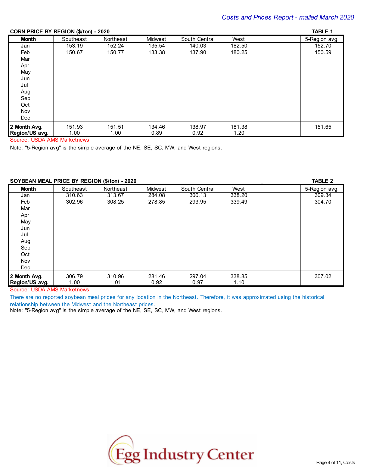#### **CORN PRICE BY REGION (\$/ton) - 2020** \_ **TABLE 1**

| $\frac{1}{2}$  |           | $- - -$   |         |               |        | .             |
|----------------|-----------|-----------|---------|---------------|--------|---------------|
| <b>Month</b>   | Southeast | Northeast | Midwest | South Central | West   | 5-Region avg. |
| Jan            | 153.19    | 152.24    | 135.54  | 140.03        | 182.50 | 152.70        |
| Feb            | 150.67    | 150.77    | 133.38  | 137.90        | 180.25 | 150.59        |
| Mar            |           |           |         |               |        |               |
| Apr            |           |           |         |               |        |               |
| May            |           |           |         |               |        |               |
| Jun            |           |           |         |               |        |               |
| Jul            |           |           |         |               |        |               |
| Aug            |           |           |         |               |        |               |
| Sep            |           |           |         |               |        |               |
| Oct            |           |           |         |               |        |               |
| Nov            |           |           |         |               |        |               |
| Dec            |           |           |         |               |        |               |
| 2 Month Avg.   | 151.93    | 151.51    | 134.46  | 138.97        | 181.38 | 151.65        |
| Region/US avg. | 1.00      | 1.00      | 0.89    | 0.92          | 1.20   |               |

Source: USDA AMS Marketnews

Note: "5-Region avg" is the simple average of the NE, SE, SC, MW, and West regions.

# **SOYBEAN MEAL PRICE BY REGION (\$/ton) - 2020** \_ **TABLE 2**

| <b>POT DEAR MEALT NOL DT NEOTON (WICH) - 2020</b> |           |           |         |               |        | .             |
|---------------------------------------------------|-----------|-----------|---------|---------------|--------|---------------|
| Month                                             | Southeast | Northeast | Midwest | South Central | West   | 5-Region avg. |
| Jan                                               | 310.63    | 313.67    | 284.08  | 300.13        | 338.20 | 309.34        |
| Feb                                               | 302.96    | 308.25    | 278.85  | 293.95        | 339.49 | 304.70        |
| Mar                                               |           |           |         |               |        |               |
| Apr                                               |           |           |         |               |        |               |
| May                                               |           |           |         |               |        |               |
| Jun                                               |           |           |         |               |        |               |
| Jul                                               |           |           |         |               |        |               |
| Aug                                               |           |           |         |               |        |               |
| Sep                                               |           |           |         |               |        |               |
| Oct                                               |           |           |         |               |        |               |
| Nov                                               |           |           |         |               |        |               |
| Dec                                               |           |           |         |               |        |               |
| 2 Month Avg.                                      | 306.79    | 310.96    | 281.46  | 297.04        | 338.85 | 307.02        |
| Region/US avg.                                    | 1.00      | 1.01      | 0.92    | 0.97          | 1.10   |               |

Source: USDA AMS Marketnews

There are no reported soybean meal prices for any location in the Northeast. Therefore, it was approximated using the historical relationship between the Midwest and the Northeast prices.

Note: "5-Region avg" is the simple average of the NE, SE, SC, MW, and West regions.

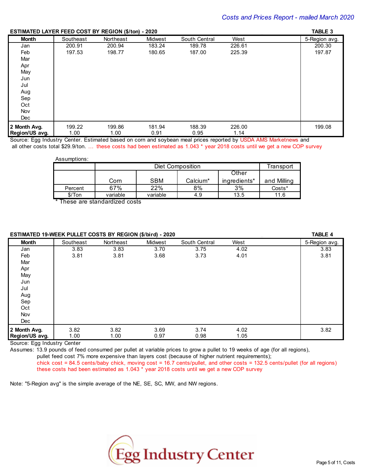### **ESTIMATED LAYER FEED COST BY REGION (\$/ton) - 2020** \_ **TABLE 3**

| LOTINATED EATER TEED COOT DT REGION (\$7,001) - 2020 |           |           |         |               |        | <b>INDLL J</b> |
|------------------------------------------------------|-----------|-----------|---------|---------------|--------|----------------|
| <b>Month</b>                                         | Southeast | Northeast | Midwest | South Central | West   | 5-Region avg.  |
| Jan                                                  | 200.91    | 200.94    | 183.24  | 189.78        | 226.61 | 200.30         |
| Feb                                                  | 197.53    | 198.77    | 180.65  | 187.00        | 225.39 | 197.87         |
| Mar                                                  |           |           |         |               |        |                |
| Apr                                                  |           |           |         |               |        |                |
| May                                                  |           |           |         |               |        |                |
| Jun                                                  |           |           |         |               |        |                |
| Jul                                                  |           |           |         |               |        |                |
| Aug                                                  |           |           |         |               |        |                |
| Sep                                                  |           |           |         |               |        |                |
| Oct                                                  |           |           |         |               |        |                |
| Nov                                                  |           |           |         |               |        |                |
| Dec                                                  |           |           |         |               |        |                |
| 2 Month Avg.                                         | 199.22    | 199.86    | 181.94  | 188.39        | 226.00 | 199.08         |
| Region/US avg.                                       | 1.00      | 1.00      | 0.91    | 0.95          | 1.14   |                |

Source: Egg Industry Center. Estimated based on corn and soybean meal prices reported by USDA AMS Marketnews and all other costs total \$29.9/ton. … these costs had been estimated as 1.043 \* year 2018 costs until we get a new COP survey

Assumptions:

|         |          | Diet Composition |          |              |             |  |  |  |
|---------|----------|------------------|----------|--------------|-------------|--|--|--|
|         |          | Other            |          |              |             |  |  |  |
|         | Corn     | <b>SBM</b>       | Calcium* | ingredients* | and Milling |  |  |  |
| Percent | 67%      | 22%              | 8%       | 3%           | Costs*      |  |  |  |
| \$/ Ton | variable | variable         | 4.9      | 13.5         | 11.6        |  |  |  |

\* These are standardized costs

# **ESTIMATED 19-WEEK PULLET COSTS BY REGION (\$/bird) - 2020** \_ **TABLE 4**

| LOTING TO HELITT OLLET OOOTO DI TEORON (WIDITA) |           |           | ∼∽∽     |               |      | . <del>.</del> |
|-------------------------------------------------|-----------|-----------|---------|---------------|------|----------------|
| <b>Month</b>                                    | Southeast | Northeast | Midwest | South Central | West | 5-Region avg.  |
| Jan                                             | 3.83      | 3.83      | 3.70    | 3.75          | 4.02 | 3.83           |
| Feb                                             | 3.81      | 3.81      | 3.68    | 3.73          | 4.01 | 3.81           |
| Mar                                             |           |           |         |               |      |                |
| Apr                                             |           |           |         |               |      |                |
| May                                             |           |           |         |               |      |                |
| Jun                                             |           |           |         |               |      |                |
| Jul                                             |           |           |         |               |      |                |
| Aug                                             |           |           |         |               |      |                |
| Sep                                             |           |           |         |               |      |                |
| Oct                                             |           |           |         |               |      |                |
| Nov                                             |           |           |         |               |      |                |
| Dec                                             |           |           |         |               |      |                |
| 2 Month Avg.                                    | 3.82      | 3.82      | 3.69    | 3.74          | 4.02 | 3.82           |
| Region/US avg.                                  | 1.00      | 1.00      | 0.97    | 0.98          | 1.05 |                |

Source: Egg Industry Center

Assumes: 13.9 pounds of feed consumed per pullet at variable prices to grow a pullet to 19 weeks of age (for all regions),

pullet feed cost 7% more expensive than layers cost (because of higher nutrient requirements);

chick cost = 84.5 cents/baby chick, moving cost = 16.7 cents/pullet, and other costs = 132.5 cents/pullet (for all regions) these costs had been estimated as 1.043 \* year 2018 costs until we get a new COP survey

Note: "5-Region avg" is the simple average of the NE, SE, SC, MW, and NW regions.

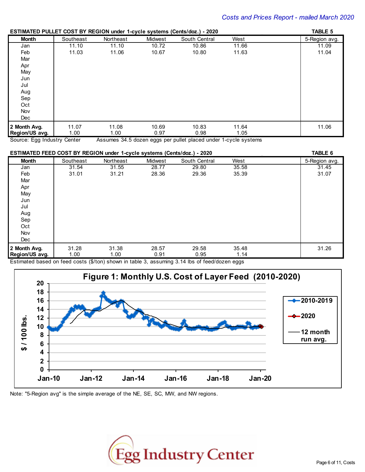#### **ESTIMATED PULLET COST BY REGION under 1-cycle systems (Cents/doz.) - 2020** \_ **TABLE 5**

|                |           |           |         | LOTHIN HED TOLLET OOOT DT REGION GROOT TO JOIC OJOICHIO (OCHIONOLI) LOLO |       |               |
|----------------|-----------|-----------|---------|--------------------------------------------------------------------------|-------|---------------|
| <b>Month</b>   | Southeast | Northeast | Midwest | South Central                                                            | West  | 5-Region avg. |
| Jan            | 11.10     | 11.10     | 10.72   | 10.86                                                                    | 11.66 | 11.09         |
| Feb            | 11.03     | 11.06     | 10.67   | 10.80                                                                    | 11.63 | 11.04         |
| Mar            |           |           |         |                                                                          |       |               |
| Apr            |           |           |         |                                                                          |       |               |
| May            |           |           |         |                                                                          |       |               |
| Jun            |           |           |         |                                                                          |       |               |
| Jul            |           |           |         |                                                                          |       |               |
| Aug            |           |           |         |                                                                          |       |               |
| Sep            |           |           |         |                                                                          |       |               |
| Oct            |           |           |         |                                                                          |       |               |
| Nov            |           |           |         |                                                                          |       |               |
| <b>Dec</b>     |           |           |         |                                                                          |       |               |
| 2 Month Avg.   | 11.07     | 11.08     | 10.69   | 10.83                                                                    | 11.64 | 11.06         |
| Region/US avg. | 1.00      | 1.00      | 0.97    | 0.98                                                                     | 1.05  |               |

Source: Egg Industry Center Assumes 34.5 dozen eggs per pullet placed under 1-cycle systems

#### **ESTIMATED FEED COST BY REGION under 1-cycle systems (Cents/doz.) - 2020** \_ **TABLE 6 Month** Southeast Northeast Midwest South Central West 5-Region avg. Jan 31.54 31.55 28.77 29.80 35.58 31.45 Feb 31.01 31.21 28.36 29.36 35.39 31.07 Mar Apr **May** Jun Jul Aug Sep Oct Nov Dec **2 Month Avg. | 3**1.28 31.38 28.57 29.58 35.48 31.26 **Region/US avg.** | 1.00 1.00 1.00 0.91 0.95 1.14

Estimated based on feed costs (\$/ton) shown in table 3, assuming 3.14 lbs of feed/dozen eggs



Note: "5-Region avg" is the simple average of the NE, SE, SC, MW, and NW regions.

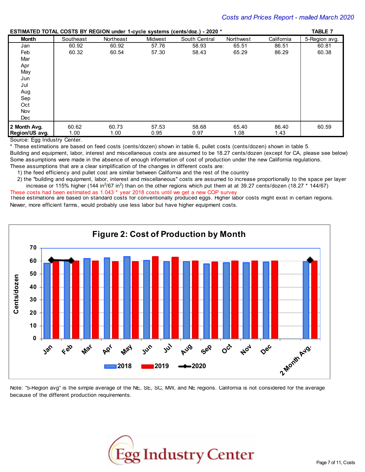**ESTIMATED TOTAL COSTS BY REGION under 1-cycle systems (cents/doz.) - 2020 \*** \_ **TABLE 7**

|                |           |           |         | LOTING ILLU TO TAL OOOTO DT TEORN GROOT TRYOIC SYSICIIIS (OCHISTOSET) - ZUZU |           |            |               |
|----------------|-----------|-----------|---------|------------------------------------------------------------------------------|-----------|------------|---------------|
| <b>Month</b>   | Southeast | Northeast | Midwest | South Central                                                                | Northwest | California | 5-Region avg. |
| Jan            | 60.92     | 60.92     | 57.76   | 58.93                                                                        | 65.51     | 86.51      | 60.81         |
| Feb            | 60.32     | 60.54     | 57.30   | 58.43                                                                        | 65.29     | 86.29      | 60.38         |
| Mar            |           |           |         |                                                                              |           |            |               |
| Apr            |           |           |         |                                                                              |           |            |               |
| May            |           |           |         |                                                                              |           |            |               |
| Jun            |           |           |         |                                                                              |           |            |               |
| Jul            |           |           |         |                                                                              |           |            |               |
| Aug            |           |           |         |                                                                              |           |            |               |
| Sep            |           |           |         |                                                                              |           |            |               |
| Oct            |           |           |         |                                                                              |           |            |               |
| Nov            |           |           |         |                                                                              |           |            |               |
| Dec            |           |           |         |                                                                              |           |            |               |
| 2 Month Avg.   | 60.62     | 60.73     | 57.53   | 58.68                                                                        | 65.40     | 86.40      | 60.59         |
| Region/US avg. | 1.00      | 1.00      | 0.95    | 0.97                                                                         | 1.08      | 1.43       |               |

Source: Egg Industry Center.

\* These estimations are based on feed costs (cents/dozen) shown in table 6, pullet costs (cents/dozen) shown in table 5.

Building and equipment, labor, interest and miscellaneous costs are assumed to be 18.27 cents/dozen (except for CA, please see below) Some assumptions were made in the absence of enough information of cost of production under the new California regulations.

These assumptions that are a clear simplification of the changes in different costs are:

- 1) the feed efficiency and pullet cost are similar between California and the rest of the country
- 2) the "building and equipment, labor, interest and miscellaneous" costs are assumed to increase proportionally to the space per layer increase or 115% higher (144 in<sup>2</sup>/67 in<sup>2</sup>) than on the other regions which put them at at 39.27 cents/dozen (18.27  $*$  144/67) These costs had been estimated as 1.043 \* year 2018 costs until we get a new COP survey

These estimations are based on standard costs for conventionally produced eggs. Higher labor costs might exist in certain regions. Newer, more efficient farms, would probably use less labor but have higher equipment costs.



Note: "5-Region avg" is the simple average of the NE, SE, SC, MW, and NE regions. California is not considered for the average because of the different production requirements.

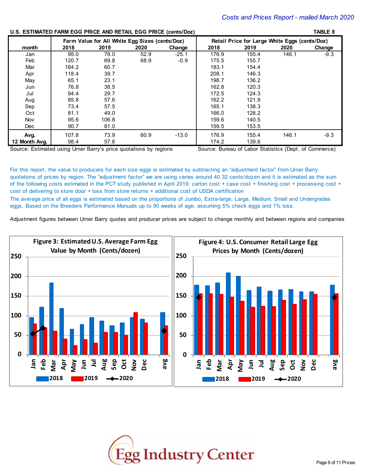\_ **TABLE 8**

#### **U.S. ESTIMATED FARM EGG PRICE AND RETAIL EGG PRICE (cents/Doz)**

| <b>0.3. LOTINATED I ANNI LOO FINGL AND NETAL LOO FINGL (GEILS/DOZ)</b> |       |                                                |      |         |       |                                                                                                     |       | <b>INDLL 0</b> |
|------------------------------------------------------------------------|-------|------------------------------------------------|------|---------|-------|-----------------------------------------------------------------------------------------------------|-------|----------------|
|                                                                        |       | Farm Value for All White Eqq Sizes (cents/Doz) |      |         |       | Retail Price for Large White Eggs (cents/Doz)                                                       |       |                |
| month                                                                  | 2018  | 2019                                           | 2020 | Change  | 2018  | 2019                                                                                                | 2020  | Change         |
| Jan                                                                    | 95.0  | 78.0                                           | 52.9 | $-25.1$ | 176.9 | 155.4                                                                                               | 146.1 | $-9.3$         |
| Feb                                                                    | 120.7 | 69.8                                           | 68.9 | $-0.9$  | 175.5 | 155.7                                                                                               |       |                |
| Mar                                                                    | 184.2 | 60.7                                           |      |         | 183.1 | 154.4                                                                                               |       |                |
| Apr                                                                    | 118.4 | 39.7                                           |      |         | 208.1 | 146.3                                                                                               |       |                |
| May                                                                    | 65.1  | 23.1                                           |      |         | 198.7 | 136.2                                                                                               |       |                |
| Jun                                                                    | 76.8  | 38.5                                           |      |         | 162.8 | 120.3                                                                                               |       |                |
| Jul                                                                    | 94.4  | 29.7                                           |      |         | 172.5 | 124.3                                                                                               |       |                |
| Aug                                                                    | 85.8  | 57.6                                           |      |         | 162.2 | 121.9                                                                                               |       |                |
| Sep                                                                    | 73.4  | 57.5                                           |      |         | 165.1 | 138.3                                                                                               |       |                |
| Oct                                                                    | 81.1  | 49.0                                           |      |         | 166.0 | 128.2                                                                                               |       |                |
| Nov                                                                    | 95.6  | 106.8                                          |      |         | 159.6 | 140.5                                                                                               |       |                |
| Dec.                                                                   | 90.7  | 81.0                                           |      |         | 159.5 | 153.5                                                                                               |       |                |
| Avg.                                                                   | 107.8 | 73.9                                           | 60.9 | $-13.0$ | 176.9 | 155.4                                                                                               | 146.1 | $-9.3$         |
| 12 Month Avg.                                                          | 98.4  | 57.6                                           |      |         | 174.2 | 139.6                                                                                               |       |                |
| Course: Fethersted using Homes Departs when autotations bu periods     |       |                                                |      |         |       | $O_{\text{current}}$ $D_{\text{model}}$ of Labes $O_{\text{total}}$ (Dant of $O_{\text{current}}$ ) |       |                |

Source: Estimated using Urner Barry's price quotations by regions Source: Bureau of Labor Statistics (Dept. of Commerce)

For this report, the value to producers for each size eggs is estimated by subtracting an "adjustment factor" from Urner Barry quotations of prices by region. The "adjustment factor" we are using varies around 40.32 cents/dozen and it is estimated as the sum of the following costs estimated in the PCT study published in April 2019: carton cost + case cost + finishing cost + processing cost + cost of delivering to store door + loss from store returns + additional cost of USDA certification The average price of all eggs is estimated based on the proportions of Jumbo, Extra-large, Large, Medium, Small and Undergrades eggs. Based on the Breeders Performance Manuals up to 90 weeks of age, assuming 5% check eggs and 1% loss.

Adjustment figures between Urner Barry quotes and producer prices are subject to change monthly and between regions and companies.



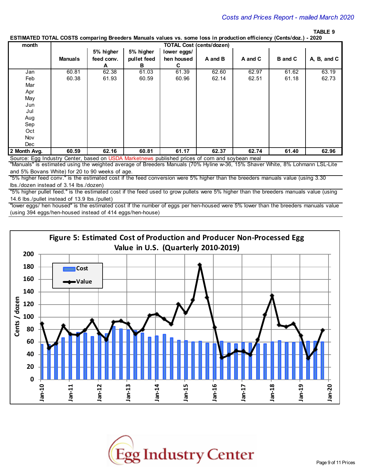# \_ **TABLE 9**

#### **ESTIMATED TOTAL COSTS comparing Breeders Manuals values vs. some loss in production efficiency (Cents/doz.) - 2020**

| month        |                |            |             |             | <b>TOTAL Cost (cents/dozen)</b> |         |                |             |
|--------------|----------------|------------|-------------|-------------|---------------------------------|---------|----------------|-------------|
|              |                | 5% higher  | 5% higher   | lower eggs/ |                                 |         |                |             |
|              | <b>Manuals</b> | feed conv. | pullet feed | hen housed  | A and B                         | A and C | <b>B</b> and C | A, B, and C |
|              |                | A          | в           | C           |                                 |         |                |             |
| Jan          | 60.81          | 62.38      | 61.03       | 61.39       | 62.60                           | 62.97   | 61.62          | 63.19       |
| Feb          | 60.38          | 61.93      | 60.59       | 60.96       | 62.14                           | 62.51   | 61.18          | 62.73       |
| Mar          |                |            |             |             |                                 |         |                |             |
| Apr          |                |            |             |             |                                 |         |                |             |
| May          |                |            |             |             |                                 |         |                |             |
| Jun          |                |            |             |             |                                 |         |                |             |
| Jul          |                |            |             |             |                                 |         |                |             |
| Aug          |                |            |             |             |                                 |         |                |             |
| Sep          |                |            |             |             |                                 |         |                |             |
| Oct          |                |            |             |             |                                 |         |                |             |
| Nov          |                |            |             |             |                                 |         |                |             |
| Dec          |                |            |             |             |                                 |         |                |             |
| 2 Month Avg. | 60.59          | 62.16      | 60.81       | 61.17       | 62.37                           | 62.74   | 61.40          | 62.96       |

Source: Egg Industry Center, based on USDA Marketnews published prices of corn and soybean meal

"Manuals" is estimated using the weighted average of Breeders Manuals (70% Hyline w-36, 15% Shaver White, 8% Lohmann LSL-Lite and 5% Bovans White) for 20 to 90 weeks of age.

"5% higher feed conv." is the estimated cost if the feed conversion were 5% higher than the breeders manuals value (using 3.30 lbs./dozen instead of 3.14 lbs./dozen)

"5% higher pullet feed." is the estimated cost if the feed used to grow pullets were 5% higher than the breeders manuals value (using 14.6 lbs./pullet instead of 13.9 lbs./pullet)

"lower eggs/ hen housed" is the estimated cost if the number of eggs per hen-housed were 5% lower than the breeders manuals value (using 394 eggs/hen-housed instead of 414 eggs/hen-house)



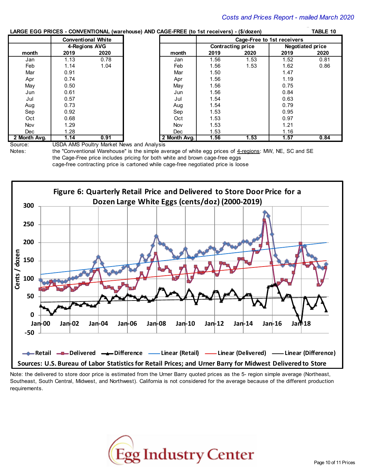# **LARGE EGG PRICES - CONVENTIONAL (warehouse) AND CAGE-FREE (to 1st receivers) - (\$/dozen) TABLE 10**

|              |      |                           | $\frac{1}{2}$ (iii) $\frac{1}{2}$ (iversity) $\frac{1}{2}$ (iii) $\frac{1}{2}$ (iversity) (iii) $\frac{1}{2}$ (iversity) |                            |                   |      |                         |  |  |
|--------------|------|---------------------------|--------------------------------------------------------------------------------------------------------------------------|----------------------------|-------------------|------|-------------------------|--|--|
|              |      | <b>Conventional White</b> |                                                                                                                          | Cage-Free to 1st receivers |                   |      |                         |  |  |
|              |      | 4-Regions AVG             |                                                                                                                          |                            | Contracting price |      | <b>Negotiated price</b> |  |  |
| month        | 2019 | 2020                      | month                                                                                                                    | 2019                       | 2020              | 2019 | 2020                    |  |  |
| Jan          | 1.13 | 0.78                      | Jan                                                                                                                      | 1.56                       | 1.53              | 1.52 | 0.81                    |  |  |
| Feb          | 1.14 | 1.04                      | Feb                                                                                                                      | 1.56                       | 1.53              | 1.62 | 0.86                    |  |  |
| Mar          | 0.91 |                           | Mar                                                                                                                      | 1.50                       |                   | 1.47 |                         |  |  |
| Apr          | 0.74 |                           | Apr                                                                                                                      | 1.56                       |                   | 1.19 |                         |  |  |
| May          | 0.50 |                           | May                                                                                                                      | 1.56                       |                   | 0.75 |                         |  |  |
| Jun          | 0.61 |                           | Jun                                                                                                                      | 1.56                       |                   | 0.84 |                         |  |  |
| Jul          | 0.57 |                           | Jul                                                                                                                      | 1.54                       |                   | 0.63 |                         |  |  |
| Aug          | 0.73 |                           | Aug                                                                                                                      | 1.54                       |                   | 0.79 |                         |  |  |
| Sep          | 0.92 |                           | Sep                                                                                                                      | 1.53                       |                   | 0.95 |                         |  |  |
| Oct          | 0.68 |                           | Oct                                                                                                                      | 1.53                       |                   | 0.97 |                         |  |  |
| Nov          | 1.29 |                           | Nov                                                                                                                      | 1.53                       |                   | 1.21 |                         |  |  |
| Dec          | 1.28 |                           | Dec                                                                                                                      | 1.53                       |                   | 1.16 |                         |  |  |
| 2 Month Avg. | 1.14 | 0.91                      | 2 Month Avg.                                                                                                             | 1.56                       | 1.53              | 1.57 | 0.84                    |  |  |

Source: USDA AMS Poultry Market News and Analysis

Notes: the "Conventional Warehouse" is the simple average of white egg prices of 4-regions: MW, NE, SC and SE the Cage-Free price includes pricing for both white and brown cage-free eggs cage-free contracting price is cartoned while cage-free negotiated price is loose



Note: the delivered to store door price is estimated from the Urner Barry quoted prices as the 5- region simple average (Northeast, Southeast, South Central, Midwest, and Northwest). California is not considered for the average because of the different production requirements.